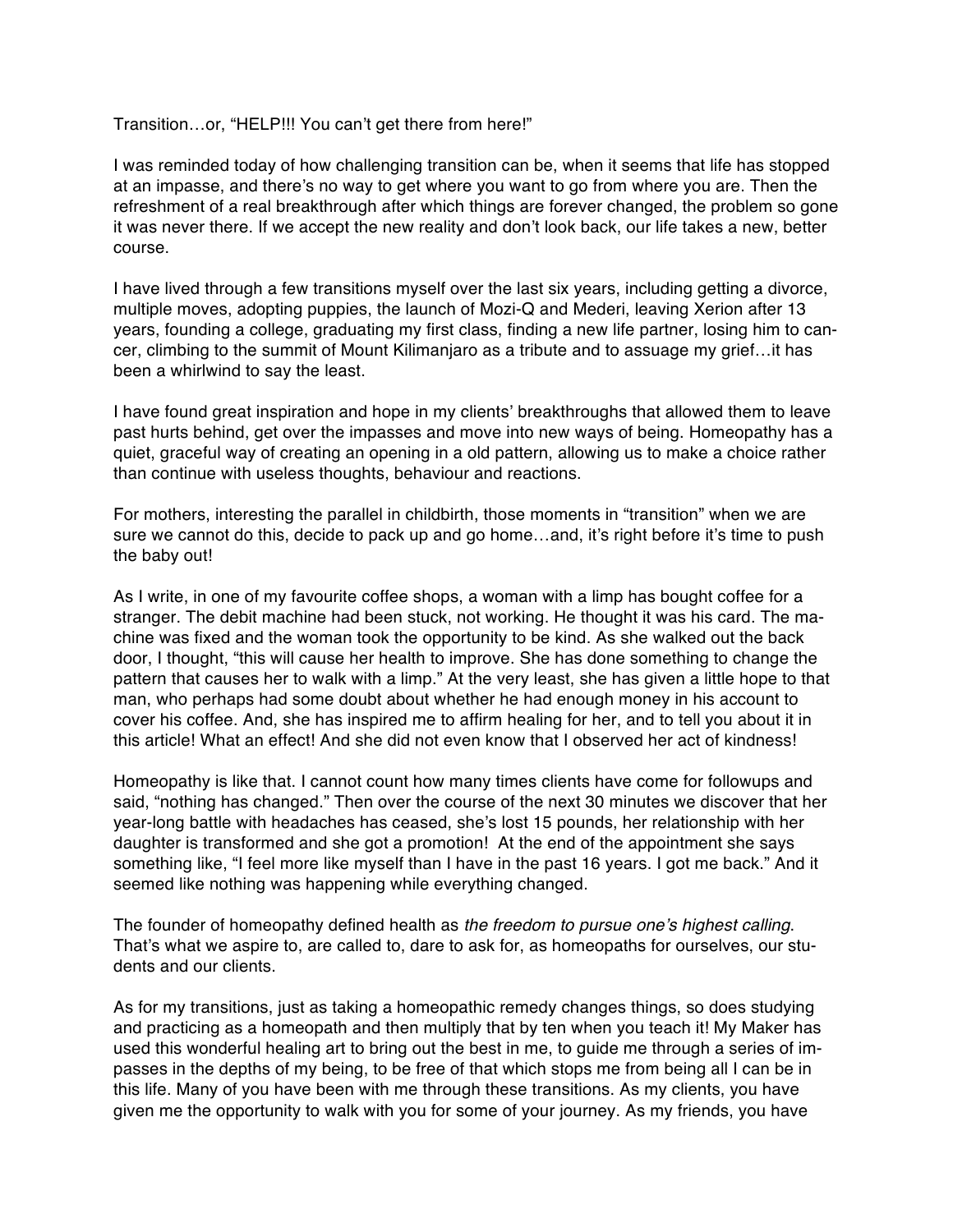Transition…or, "HELP!!! You can't get there from here!"

I was reminded today of how challenging transition can be, when it seems that life has stopped at an impasse, and there's no way to get where you want to go from where you are. Then the refreshment of a real breakthrough after which things are forever changed, the problem so gone it was never there. If we accept the new reality and don't look back, our life takes a new, better course.

I have lived through a few transitions myself over the last six years, including getting a divorce, multiple moves, adopting puppies, the launch of Mozi-Q and Mederi, leaving Xerion after 13 years, founding a college, graduating my first class, finding a new life partner, losing him to cancer, climbing to the summit of Mount Kilimanjaro as a tribute and to assuage my grief…it has been a whirlwind to say the least.

I have found great inspiration and hope in my clients' breakthroughs that allowed them to leave past hurts behind, get over the impasses and move into new ways of being. Homeopathy has a quiet, graceful way of creating an opening in a old pattern, allowing us to make a choice rather than continue with useless thoughts, behaviour and reactions.

For mothers, interesting the parallel in childbirth, those moments in "transition" when we are sure we cannot do this, decide to pack up and go home…and, it's right before it's time to push the baby out!

As I write, in one of my favourite coffee shops, a woman with a limp has bought coffee for a stranger. The debit machine had been stuck, not working. He thought it was his card. The machine was fixed and the woman took the opportunity to be kind. As she walked out the back door, I thought, "this will cause her health to improve. She has done something to change the pattern that causes her to walk with a limp." At the very least, she has given a little hope to that man, who perhaps had some doubt about whether he had enough money in his account to cover his coffee. And, she has inspired me to affirm healing for her, and to tell you about it in this article! What an effect! And she did not even know that I observed her act of kindness!

Homeopathy is like that. I cannot count how many times clients have come for followups and said, "nothing has changed." Then over the course of the next 30 minutes we discover that her year-long battle with headaches has ceased, she's lost 15 pounds, her relationship with her daughter is transformed and she got a promotion! At the end of the appointment she says something like, "I feel more like myself than I have in the past 16 years. I got me back." And it seemed like nothing was happening while everything changed.

The founder of homeopathy defined health as *the freedom to pursue one's highest calling*. That's what we aspire to, are called to, dare to ask for, as homeopaths for ourselves, our students and our clients.

As for my transitions, just as taking a homeopathic remedy changes things, so does studying and practicing as a homeopath and then multiply that by ten when you teach it! My Maker has used this wonderful healing art to bring out the best in me, to guide me through a series of impasses in the depths of my being, to be free of that which stops me from being all I can be in this life. Many of you have been with me through these transitions. As my clients, you have given me the opportunity to walk with you for some of your journey. As my friends, you have